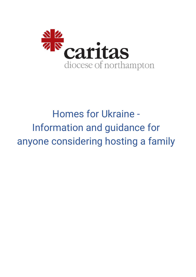

# Homes for Ukraine - Information and guidance for anyone considering hosting a family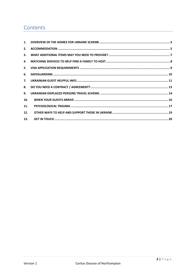# Contents

| 2.               |  |
|------------------|--|
| 3.               |  |
| 4.               |  |
| 5.               |  |
| 6.               |  |
| $\overline{7}$ . |  |
| 8.               |  |
| 9.               |  |
| 10.              |  |
| 11.              |  |
| 12.              |  |
| 13.              |  |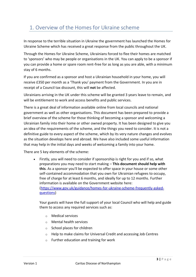# <span id="page-2-0"></span>1. Overview of the Homes for Ukraine scheme

In response to the terrible situation in Ukraine the government has launched the Homes for Ukraine Scheme which has received a great response from the public throughout the UK.

Through the Homes for Ukraine Scheme, Ukrainians forced to flee their homes are matched to 'sponsors' who may be people or organisations in the UK. You can apply to be a sponsor if you can provide a home or spare room rent-free for as long as you are able, with a minimum stay of 6 months.

If you are confirmed as a sponsor and host a Ukrainian household in your home, you will receive £350 per month as a 'Thank you' payment from the Government. In you are in receipt of a Council tax discount, this will **not** be affected.

Ukrainians arriving in the UK under this scheme will be granted 3 years leave to remain, and will be entitlement to work and access benefits and public services.

There is a great deal of information available online from local councils and national government as well as other organisations. This document has been prepared to provide a brief overview of the scheme for those thinking of becoming a sponsor and welcoming a Ukrainian family into their home or other owned property. It has been designed to give you an idea of the requirements of the scheme, and the things you need to consider. It is not a definitive guide to every aspect of the scheme, which by its very nature changes and evolves as the situation develops here and abroad. We have also included some useful information that may help in the initial days and weeks of welcoming a family into your home.

There are 5 key elements of the scheme:

• Firstly, you will need to consider if sponsorship is right for you and if so, what preparations you may need to start making – **This document should help with this**. As a sponsor you'll be expected to offer space in your house or some other self-contained accommodation that you own for Ukrainian refugees to occupy, free of charge for at least 6 months, and ideally for up to 12 months. Further information is available on the Government website here: [\(https://www.gov.uk/guidance/homes-for-ukraine-scheme-frequently-asked](https://www.gov.uk/guidance/homes-for-ukraine-scheme-frequently-asked-questions)[questions\)](https://www.gov.uk/guidance/homes-for-ukraine-scheme-frequently-asked-questions)

Your guests will have the full support of your local Council who will help and guide them to access any required services such as:

- o Medical services
- o Mental health services
- o School places for children
- o Help to make claims for Universal Credit and accessing Job Centres
- o Further education and training for work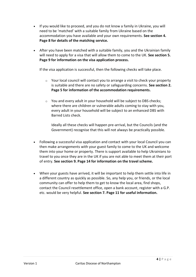- If you would like to proceed, and you do not know a family in Ukraine, you will need to be 'matched' with a suitable family from Ukraine based on the accommodation you have available and your own requirements. **See section 4. Page 8 for details of the matching service.**
- After you have been matched with a suitable family, you and the Ukrainian family will need to apply for a visa that will allow them to come to the UK. **See section 5. Page 9 for information on the visa application process.**

If the visa application is successful, then the following checks will take place.

- $\circ$  Your local council will contact you to arrange a visit to check your property is suitable and there are no safety or safeguarding concerns. **See section 2. Page 5 for information of the accommodation requirements.**
- o You and every adult in your household will be subject to DBS checks; where there are children or vulnerable adults coming to stay with you, every adult in your household will be subject to an enhanced DBS with Barred Lists check.

Ideally all these checks will happen pre-arrival, but the Councils (and the Government) recognise that this will not always be practically possible.

- Following a successful visa application and contact with your local Council you can then make arrangements with your guest family to come to the UK and welcome them into your home or property. There is support available to help Ukrainians to travel to you once they are in the UK if you are not able to meet them at their port of entry. **See section 9. Page 14 for information on the travel scheme.**
- When your guests have arrived, it will be important to help them settle into life in a different country as quickly as possible. So, any help you, or friends, or the local community can offer to help them to get to know the local area, find shops, contact the Council resettlement office, open a bank account, register with a G.P. etc. would be very helpful. **See section 7. Page 11 for useful information.**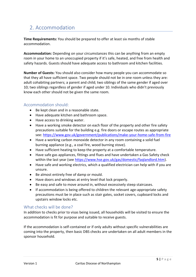# <span id="page-4-0"></span>2. Accommodation

**Time Requirements:** You should be prepared to offer at least six months of stable accommodation.

**Accommodation:** Depending on your circumstances this can be anything from an empty room in your home to an unoccupied property if it's safe, heated, and free from health and safety hazards. Guests should have adequate access to bathroom and kitchen facilities.

**Number of Guests:** You should also consider how many people you can accommodate so that they all have sufficient space. Two people should not be in one room unless they are: adult cohabiting partners; a parent and child; two siblings of the same gender if aged over 10; two siblings regardless of gender if aged under 10. Individuals who didn't previously know each other should not be given the same room.

### Accommodation should:

- Be kept clean and in a reasonable state.
- Have adequate kitchen and bathroom space.
- Have access to drinking water.
- Have a working smoke detector on each floor of the property and other fire safety precautions suitable for the building e.g. fire doors or escape routes as appropriate see:<https://www.gov.uk/government/publications/make-your-home-safe-from-fire>
- Have a working carbon monoxide detector in any room containing a solid fuel burning appliance (e.g., a coal fire, wood burning stove).
- Have sufficient heating to keep the property at a comfortable temperature.
- Have safe gas appliances, fittings and flues and have undertaken a Gas Safety check within the last year (see [https://www.hse.gov.uk/gas/domestic/faqlandlord.htm\)](https://www.hse.gov.uk/gas/domestic/faqlandlord.htm).
- Have safe and working electrics, which a qualified electrician can help with if you are unsure.
- Be almost entirely free of damp or mould.
- Have doors and windows at entry level that lock properly.
- Be easy and safe to move around in, without excessively steep staircases.
- If accommodation is being offered to children the relevant age-appropriate safety precautions must be in place such as stair gates, socket covers, cupboard locks and upstairs window locks etc.

#### What checks will be done?

In addition to checks prior to visas being issued, all households will be visited to ensure the accommodation is fit for purpose and suitable to receive guests.

If the accommodation is self-contained or if only adults without specific vulnerabilities are coming into the property, then basic DBS checks are undertaken on all adult members in the sponsor household.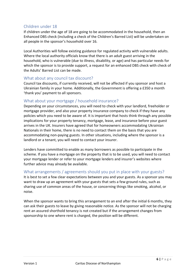### Children under 18

If children under the age of 18 are going to be accommodated in the household, then an Enhanced DBS check (including a check of the Children's Barred List) will be undertaken on all people in the sponsor's household over 16.

Local Authorities will follow existing guidance for regulated activity with vulnerable adults. Where the local authority officials know that there is an adult guest arriving in the household, who is vulnerable (due to illness, disability, or age) and has particular needs for which the sponsor is to provide support, a request for an enhanced DBS check with check of the Adults' Barred List can be made.

### What about any council tax discount?

Council tax discounts, if currently received, will not be affected if you sponsor and host a Ukrainian family in your home. Additionally, the Government is offering a £350 a month 'thank you' payment to all sponsors.

### What about your mortgage / household insurance?

Depending on your circumstances, you will need to check with your landlord, freeholder or mortgage provider, and also your property insurance company to check if they have any policies which you need to be aware of. It is important that hosts think through any possible implications for your property tenancy, mortgage, lease, and insurance before your guest arrives in the UK. Insurers have agreed that for homeowners accommodating Ukrainian Nationals in their home, there is no need to contact them on the basis that you are accommodating non-paying guests. In other situations, including where the sponsor is a landlord or a tenant, you will need to contact your insurer.

Lenders have committed to enable as many borrowers as possible to participate in the scheme. If you have a mortgage on the property that is to be used, you will need to contact your mortgage lender or refer to your mortgage lenders and insurer's websites where further advice may already be available.

#### What arrangements / agreements should you put in place with your guests?

It is best to set a few clear expectations between you and your guests. As a sponsor you may want to draw up an agreement with your guests that sets a few ground rules, such as sharing use of common areas of the house, or concerning things like smoking, alcohol, or noise.

When the sponsor wants to bring this arrangement to an end after the initial 6 months, they can ask their guests to leave by giving reasonable notice. As the sponsor will not be charging rent an assured shorthold tenancy is not created but if the arrangement changes from sponsorship to one where rent is charged, the position will be different.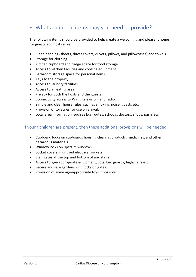# <span id="page-6-0"></span>3. What additional items may you need to provide?

The following items should be provided to help create a welcoming and pleasant home for guests and hosts alike.

- Clean bedding (sheets, duvet covers, duvets, pillows, and pillowcases) and towels.
- Storage for clothing.
- Kitchen cupboard and fridge space for food storage.
- Access to kitchen facilities and cooking equipment.
- Bathroom storage space for personal items.
- Keys to the property.
- Access to laundry facilities.
- Access to an eating area.
- Privacy for both the hosts and the guests.
- Connectivity access to Wi-Fi, television, and radio.
- Simple and clear house rules, such as smoking, noise, guests etc.
- Provision of toiletries for use on arrival.
- Local area information, such as bus routes, schools, doctors, shops, parks etc.

### If young children are present, then these additional provisions will be needed:

- Cupboard locks on cupboards housing cleaning products, medicines, and other hazardous materials.
- Window locks on upstairs windows.
- Socket covers in unused electrical sockets.
- Stair gates at the top and bottom of any stairs.
- Access to age-appropriate equipment, cots, bed guards, highchairs etc.
- Secure and safe gardens with locks on gates.
- Provision of some age-appropriate toys if possible.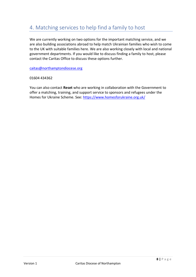### <span id="page-7-0"></span>4. Matching services to help find a family to host

We are currently working on two options for the important matching service, and we are also building associations abroad to help match Ukrainian families who wish to come to the UK with suitable families here. We are also working closely with local and national government departments. If you would like to discuss finding a family to host, please contact the Caritas Office to discuss these options further.

[caitas@northamptondiocese.org](mailto:caitas@northamptondiocese.org)

01604 434362

You can also contact **Reset** who are working in collaboration with the Government to offer a matching, training, and support service to sponsors and refugees under the Homes for Ukraine Scheme. See:<https://www.homesforukraine.org.uk/>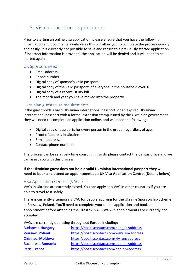# <span id="page-8-0"></span>5. Visa application requirements

Prior to starting an online visa application, please ensure that you have the following information and documents available as this will allow you to complete the process quickly and easily. It is currently not possible to save and return to a previously started application. If incorrect information is provided, the application will be denied and it will need to be started again.

### UK Sponsors need:

- Email address.
- Phone number.
- Digital copy of sponsor's valid passport.
- Digital copy of the valid passports of everyone in the household over 18.
- Digital copy of a recent Utility bill.
- The month and year you have moved into the property.

#### Ukrainian guests visa requirement:

If the guest holds a valid Ukrainian international passport, or an expired Ukrainian international passport with a formal extension stamp issued by the Ukrainian government, they will need to complete an application online, and will need the following:

- Digital copy of passports for every person in the group, regardless of age.
- Proof of address in Ukraine.
- E-mail address.
- Contact phone number.

The process can be relatively time consuming, so do please contact the Caritas office and we can assist you with this process.

#### **If the Ukrainian guest does not hold a valid Ukrainian international passport they will need to book and attend an appointment at a UK [Visa Application Centre.](https://www.gov.uk/find-a-visa-application-centre) (Details below)**

#### Visa Application Centres (VAC's)

VACs in Ukraine are currently closed. You can apply at a VAC in other countries if you are able to travel to it safely.

There is currently a temporary VAC for people applying for the Ukraine Sponsorship Scheme in [Rzeszow, Poland](https://pos.tlscontact.com/rze_en/address). You'll need to complete your online application and book an appointment before attending the Rzeszow VAC - walk-in appointments are currently not accepted.

VACs are currently operating throughout Europe including:

| <b>Budapest, Hungary</b>  | https://pos.tlscontact.com/bud_en/address |
|---------------------------|-------------------------------------------|
| Warsaw, Poland            | https://pos.tlscontact.com/waw_en/address |
| Chisinau, Moldova         | https://pos.tlscontact.com/kiv en/address |
| <b>Bucharest, Romania</b> | https://pos.tlscontact.com/bbu_en/address |
| Paris, France             | https://pos.tlscontact.com/par_en/address |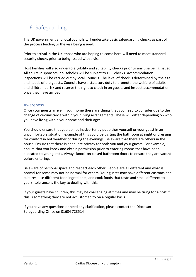# <span id="page-9-0"></span>6. Safeguarding

The UK government and local councils will undertake basic safeguarding checks as part of the process leading to the visa being issued.

Prior to arrival in the UK, those who are hoping to come here will need to meet standard security checks prior to being issued with a visa.

Host families will also undergo eligibility and suitability checks prior to any visa being issued. All adults in sponsors' households will be subject to DBS checks. Accommodation inspections will be carried out by local Councils. The level of check is determined by the age and needs of the guests. Councils have a statutory duty to promote the welfare of adults and children at risk and reserve the right to check in on guests and inspect accommodation once they have arrived.

### Awareness

Once your guests arrive in your home there are things that you need to consider due to the change of circumstance within your living arrangements. These will differ depending on who you have living within your home and their ages.

You should ensure that you do not inadvertently put either yourself or your guest in an uncomfortable situation, example of this could be visiting the bathroom at night or dressing for comfort in hot weather or during the evenings. Be aware that there are others in the house. Ensure that there is adequate privacy for both you and your guests. For example, ensure that you knock and obtain permission prior to entering rooms that have been allocated to your guests. Always knock-on closed bathroom doors to ensure they are vacant before entering.

Be aware of personal space and respect each other. People are all different and what is normal for some may not be normal for others. Your guests may have different customs and cultures, use different food ingredients, and cook foods that taste and smell different to yours, tolerance is the key to dealing with this.

If your guests have children, this may be challenging at times and may be tiring for a host if this is something they are not accustomed to on a regular basis.

If you have any questions or need any clarification, please contact the Diocesan Safeguarding Office on 01604 723514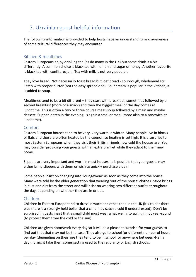# <span id="page-10-0"></span>7. Ukrainian guest helpful information

The following information is provided to help hosts have an understanding and awareness of some cultural differences they may encounter.

### Kitchen & mealtimes

Eastern Europeans enjoy drinking tea (as do many in the UK) but some drink it a bit differently. A common choice is black tea with lemon and sugar or honey. Another favourite is black tea with confiture/jam. Tea with milk is not very popular.

They love bread! Not necessarily toast bread but loaf bread - sourdough, wholemeal etc. Eaten with proper butter (not the easy spread one). Sour cream is popular in the kitchen, it is added to soup.

Mealtimes tend to be a bit different – they start with breakfast, sometimes followed by a second breakfast (more of a snack) and then the biggest meal of the day comes at lunchtime. This is often a two or three course meal: soup followed by a main and maybe dessert. Supper, eaten in the evening, is again a smaller meal (more akin to a sandwich at lunchtime).

### Comfort

Eastern European houses tend to be very, very warm in winter. Many people live in blocks of flats and those are often heated by the council, so heating is set high. It is a surprise to most Eastern Europeans when they visit their British friends how cold the houses are. You may consider providing your guests with an extra blanket while they adapt to their new home.

Slippers are very important and worn in most houses. It is possible that your guests may either bring slippers with them or wish to quickly purchase a pair.

Some people insist on changing into 'loungewear' as soon as they come into the house. Many were told by the older generation that wearing 'out of the house' clothes inside brings in dust and dirt from the street and will insist on wearing two different outfits throughout the day, depending on whether they are in or out.

#### Children

Children in Eastern Europe tend to dress in warmer clothes than in the UK (it's colder there plus there is a strongly held belief that a child may catch a cold if underdressed). Don't be surprised if guests insist that a small child must wear a hat well into spring if not year-round (to protect them from the cold or the sun).

Children are given homework every day so it will be a pleasant surprise for your guests to find out that that may not be the case. They also go to school for different number of hours per day (depending on their age they tend to be in school for anywhere between 4-9h a day). It might take them some getting used to the regularity of English schools.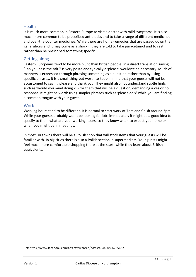### **Health**

It is much more common in Eastern Europe to visit a doctor with mild symptoms. It is also much more common to be prescribed antibiotics and to take a range of different medicines and over-the-counter medicines. While there are home-remedies that are passed down the generations and it may come as a shock if they are told to take paracetamol and to rest rather than be prescribed something specific.

#### Getting along

Eastern Europeans tend to be more blunt than British people. In a direct translation saying, 'Can you pass the salt?' is very polite and typically a 'please' wouldn't be necessary. Much of manners is expressed through phrasing something as a question rather than by using specific phrases. It is a small thing but worth to keep in mind that your guests will not be accustomed to saying please and thank you. They might also not understand subtle hints such as 'would you mind doing x' - for them that will be a question, demanding a yes or no response. It might be worth using simpler phrases such as 'please do x' while you are finding a common tongue with your guest.

#### Work

Working hours tend to be different. It is normal to start work at 7am and finish around 3pm. While your guests probably won't be looking for jobs immediately it might be a good idea to specify to them what are your working hours, so they know when to expect you home or when you might be in meetings.

In most UK towns there will be a Polish shop that will stock items that your guests will be familiar with. In big cities there is also a Polish section in supermarkets. Your guests might feel much more comfortable shopping there at the start, while they learn about British equivalents.

Ref: https://www.facebook.com/anxietyswansea/posts/484460856735622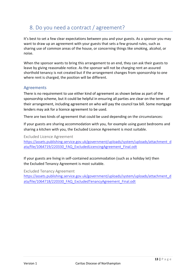# <span id="page-12-0"></span>8. Do you need a contract / agreement?

It's best to set a few clear expectations between you and your guests. As a sponsor you may want to draw up an agreement with your guests that sets a few ground rules, such as sharing use of common areas of the house, or concerning things like smoking, alcohol, or noise.

When the sponsor wants to bring this arrangement to an end, they can ask their guests to leave by giving reasonable notice. As the sponsor will not be charging rent an assured shorthold tenancy is not created but if the arrangement changes from sponsorship to one where rent is charged, the position will be different.

### Agreements

There is no requirement to use either kind of agreement as shown below as part of the sponsorship scheme, but it could be helpful in ensuring all parties are clear on the terms of their arrangement, including agreement on who will pay the council tax bill. Some mortgage lenders may ask for a licence agreement to be used.

There are two kinds of agreement that could be used depending on the circumstances:

If your guests are sharing accommodation with you, for example using guest bedrooms and sharing a kitchen with you, the [Excluded Licence Agreement](https://assets.publishing.service.gov.uk/government/uploads/system/uploads/attachment_data/file/1064719/220330_FAQ_ExcludedLicencingAgreement_Final.odt) is most suitable.

#### Excluded Licence Agreement

https://assets.publishing.service.gov.uk/government/uploads/system/uploads/attachment\_d ata/file/1064719/220330\_FAQ\_ExcludedLicencingAgreement\_Final.odt

If your guests are living in self-contained accommodation (such as a holiday let) then the [Excluded Tenancy Agreement](https://assets.publishing.service.gov.uk/government/uploads/system/uploads/attachment_data/file/1064718/220330_FAQ_ExcludedTenancyAgreement_Final.odt) is most suitable.

Excluded Tenancy Agreement

[https://assets.publishing.service.gov.uk/government/uploads/system/uploads/attachment\\_d](https://assets.publishing.service.gov.uk/government/uploads/system/uploads/attachment_data/file/1064718/220330_FAQ_ExcludedTenancyAgreement_Final.odt) ata/file/1064718/220330\_FAQ\_ExcludedTenancyAgreement\_Final.odt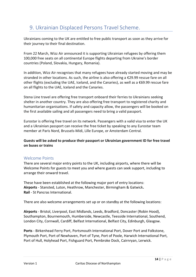# <span id="page-13-0"></span>9. [Ukrainian Displaced Persons Travel Scheme.](https://www.nationalrail.co.uk/ukraine)

Ukrainians coming to the UK are entitled to free public transport as soon as they arrive for their journey to their final destination.

From 22 March, Wizz Air announced it is supporting Ukrainian refugees by offering them 100,000 free seats on all continental Europe flights departing from Ukraine's border countries (Poland, Slovakia, Hungary, Romania).

In addition, Wizz Air recognises that many refugees have already started moving and may be stranded in other locations. As such, the airline is also offering a €29.99 rescue fare on all other flights (excluding the UAE, Iceland, and the Canaries), as well as a €69.99 rescue fare on all flights to the UAE, Iceland and the Canaries.

Stena Line travel are offering free transport onboard their ferries to Ukrainians seeking shelter in another country. They are also offering free transport to registered charity and humanitarian organisations. If safety and capacity allow, the passengers will be booked on the first available sailing and all passengers need to bring a valid passport.

Eurostar is offering free travel on its network. Passengers with a valid visa to enter the UK and a Ukrainian passport can receive the free ticket by speaking to any Eurostar team member at Paris Nord, Brussels-Midi, Lille Europe, or Amsterdam Central.

**Guests will be asked to produce their passport or Ukrainian government ID for free travel on buses or trains**

### Welcome Points

There are several major entry points to the UK, including airports, where there will be Welcome Points for guests to meet you and where guests can seek support, including to arrange their onward travel.

These have been established at the following major port of entry locations: **Airports** - Stansted, Luton, Heathrow, Manchester, Birmingham & Gatwick**. Rail** - St Pancras International.

There are also welcome arrangements set up or on standby at the following locations:

**Airports** - Bristol, Liverpool, East Midlands, Leeds, Bradford, Doncaster (Robin Hood), Southampton, Bournemouth, Humberside, Newcastle, Teesside International, Southend, London City, Cornwall, Cardiff, Belfast International, Belfast City, Edinburgh, Glasgow.

**Ports** - Birkenhead Ferry Port, Portsmouth International Port, Dover Port and Folkstone, Plymouth Port, Port of Newhaven, Port of Tyne, Port of Poole, Harwich International Port, Port of Hull, Holyhead Port, Fishguard Port, Pembroke Dock, Cairnryan, Lerwick.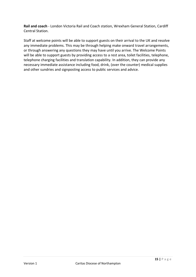**Rail and coach** - London Victoria Rail and Coach station, Wrexham General Station, Cardiff Central Station.

Staff at welcome points will be able to support guests on their arrival to the UK and resolve any immediate problems. This may be through helping make onward travel arrangements, or through answering any questions they may have until you arrive. The Welcome Points will be able to support guests by providing access to a rest area, toilet facilities, telephone, telephone charging facilities and translation capability. In addition, they can provide any necessary immediate assistance including food, drink, (over the counter) medical supplies and other sundries and signposting access to public services and advice.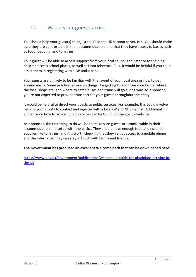<span id="page-15-0"></span>You should help your guest(s) to adjust to life in the UK as soon as you can. You should make sure they are comfortable in their accommodation, and that they have access to basics such as food, bedding, and toiletries.

Your guest will be able to access support from your local council for instance for helping children access school places, as well as from Jobcentre Plus. It would be helpful if you could assist them in registering with a GP and a bank.

Your guests are unlikely to be familiar with the layout of your local area or how to get around easily. Some practical advice on things like getting to and from your home, where the local shops are, and where to catch buses and trains will go a long way. As a sponsor, you're not expected to provide transport for your guests throughout their stay.

It would be helpful to direct your guests to public services. For example, this could involve helping your guests to contact and register with a local GP and NHS dentist. Additional guidance on how to access public services can be found on the gov.uk website.

As a sponsor, the first thing to do will be to make sure guests are comfortable in their accommodation and setup with the basics. They should have enough food and essential supplies like toiletries, and it is worth checking that they've got access to a mobile phone and the internet so they can stay in touch with family and friends.

#### **The Government has produced an excellent Welcome pack that can be downloaded here:**

[https://www.gov.uk/government/publications/welcome-a-guide-for-ukrainians-arriving-in](https://www.gov.uk/government/publications/welcome-a-guide-for-ukrainians-arriving-in-the-uk)[the-uk](https://www.gov.uk/government/publications/welcome-a-guide-for-ukrainians-arriving-in-the-uk)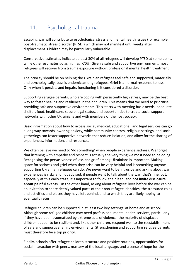# <span id="page-16-0"></span>11. Psychological trauma

Escaping war will contribute to psychological stress and mental health issues (for example, [post-traumatic stress disorder](https://www.nhs.uk/mental-health/conditions/post-traumatic-stress-disorder-ptsd/overview/) (PTSD)) which may not manifest until weeks after displacement. Children may be particularly vulnerable.

Conservative estimates indicate at least 30% of all refugees will develop PTSD at some point, while other estimates go as high as >70%; Given a safe and supportive environment, most refugees will recover from trauma exposure without professional mental health treatment.

The priority should be on helping the Ukrainian refugees feel safe and supported, materially and psychologically. Loss is endemic among refugees. Grief is a normal response to loss. Only when it persists and impairs functioning is it considered a disorder.

Supporting refugee parents, who are coping with persistently high stress, may be the best way to foster healing and resilience in their children. This means that we need to prioritise providing safe and supportive environments. This starts with [meeting basic needs:](https://www.mhe-sme.org/ukraine-crisis-mental-health-impact-young-people/) adequate shelter, food, healthcare, secure legal status, and opportunities to create social support networks with other Ukrainians and with members of the host society.

Basic information about how to access social, medical, educational, and legal services can go a long way towards lowering [anxiety,](https://www.psychologytoday.com/gb/basics/anxiety) while community centres, religious settings, and social gatherings can foster supportive networks that reduce isolation, and allow for the sharing of experiences, information, and resources.

We often believe we need to 'do something' when people experience sadness. We forget that listening with [empathy](https://www.psychologytoday.com/gb/basics/empathy) and respect is actually the very thing we most need to be doing. Recognising the pervasiveness of loss and grief among Ukrainians is important. Making space for sadness and grief when they arise can be very helpful and is something anyone supporting Ukrainian refugees can do. We never want to be intrusive and asking about war experiences is risky and not advised; if people want to talk about the war, that's fine, but, especially at this early stage, it's important to follow their lead, and **not invite disclosure about painful events**. On the other hand, asking about refugees' lives before the war can be an invitation to share deeply valued parts of their non-refugee identities, the treasured roles and activities and places they have left behind, and to which they are likely hoping to eventually return.

Refugee children can be supported in at least two key settings: at home and at school. Although some refugee children may need professional mental health services, particularly if they have been traumatized by extreme acts of violence, the majority of displaced children appear to be [resilient](https://www.psychologytoday.com/gb/basics/resilience) and, like other children, respond well to the reestablishment of safe and supportive family environments. Strengthening and supporting refugee parents must therefore be a top priority.

Finally, schools offer refugee children [structure and positive routines,](https://www.theguardian.com/commentisfree/2022/mar/19/bombs-refugees-ukraine-children-conflict-education) opportunities for social interaction with peers, mastery of the local language, and a sense of hope for the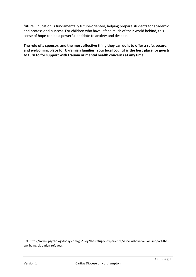future. [Education](https://www.psychologytoday.com/gb/basics/education) is fundamentally future-oriented, helping prepare students for academic and professional success. For children who have left so much of their world behind, this sense of hope can be a powerful antidote to anxiety and despair.

**The role of a sponsor, and the most effective thing they can do is to offer a safe, secure, and welcoming place for Ukrainian families. Your local council is the best place for guests to turn to for support with trauma or mental health concerns at any time.**

Ref: https://www.psychologytoday.com/gb/blog/the-refugee-experience/202204/how-can-we-support-thewellbeing-ukrainian-refugees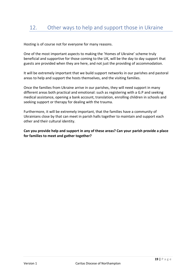<span id="page-18-0"></span>Hosting is of course not for everyone for many reasons.

One of the most important aspects to making the 'Homes of Ukraine' scheme truly beneficial and supportive for those coming to the UK, will be the day to day support that guests are provided when they are here, and not just the providing of accommodation.

It will be extremely important that we build support networks in our parishes and pastoral areas to help and support the hosts themselves, and the visiting families.

Once the families from Ukraine arrive in our parishes, they will need support in many different areas both practical and emotional: such as registering with a G.P and seeking medical assistance, opening a bank account, translation, enrolling children in schools and seeking support or therapy for dealing with the trauma.

Furthermore, it will be extremely important, that the families have a community of Ukrainians close by that can meet in parish halls together to maintain and support each other and their cultural identity.

**Can you provide help and support in any of these areas? Can your parish provide a place for families to meet and gather together?**